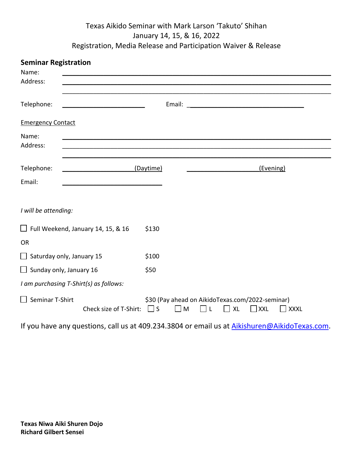## Texas Aikido Seminar with Mark Larson 'Takuto' Shihan January 14, 15, & 16, 2022 Registration, Media Release and Participation Waiver & Release

| <b>Seminar Registration</b><br>Name:      |                                                                                               |           |                                                                                                                 |  |  |           |  |  |
|-------------------------------------------|-----------------------------------------------------------------------------------------------|-----------|-----------------------------------------------------------------------------------------------------------------|--|--|-----------|--|--|
| Address:                                  |                                                                                               |           |                                                                                                                 |  |  |           |  |  |
| Telephone:                                |                                                                                               |           |                                                                                                                 |  |  |           |  |  |
| <b>Emergency Contact</b>                  |                                                                                               |           |                                                                                                                 |  |  |           |  |  |
| Name:<br>Address:                         |                                                                                               |           |                                                                                                                 |  |  |           |  |  |
| Telephone:                                |                                                                                               | (Daytime) |                                                                                                                 |  |  | (Evening) |  |  |
| Email:                                    |                                                                                               |           |                                                                                                                 |  |  |           |  |  |
| I will be attending:                      |                                                                                               |           |                                                                                                                 |  |  |           |  |  |
| $\Box$ Full Weekend, January 14, 15, & 16 |                                                                                               | \$130     |                                                                                                                 |  |  |           |  |  |
| <b>OR</b>                                 |                                                                                               |           |                                                                                                                 |  |  |           |  |  |
| $\Box$ Saturday only, January 15          |                                                                                               | \$100     |                                                                                                                 |  |  |           |  |  |
| $\Box$ Sunday only, January 16            |                                                                                               | \$50      |                                                                                                                 |  |  |           |  |  |
| I am purchasing T-Shirt(s) as follows:    |                                                                                               |           |                                                                                                                 |  |  |           |  |  |
| Seminar T-Shirt<br>$\perp$                | Check size of T-Shirt: $\Box$ S                                                               |           | \$30 (Pay ahead on AikidoTexas.com/2022-seminar)<br>$\Box$ M<br>$\Box$ XXL<br>$\Box$ L $\Box$ XL<br>$\Box$ XXXL |  |  |           |  |  |
|                                           | If you have any questions, call us at 409.234.3804 or email us at Aikishuren@AikidoTexas.com. |           |                                                                                                                 |  |  |           |  |  |